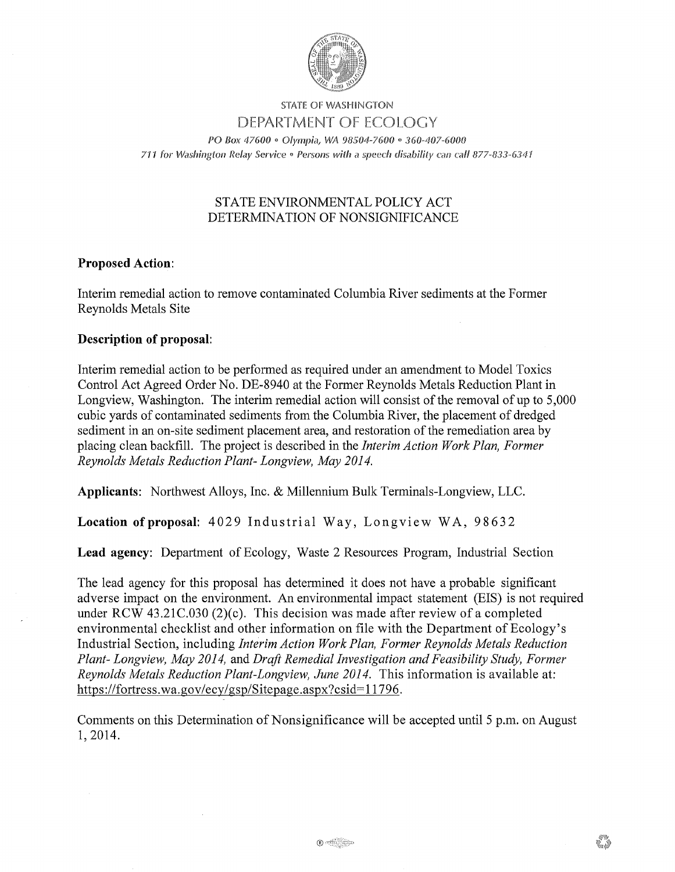

#### STATE OF WASHINGTON DEPARTMENT OF ECOLOGY

PO Box 47600 • Olympia, WA 98504-7600 • 360-407-6000 711 for Washington Relay Service . Persons with a speech disability can call 877-833-6341

# STATE ENVIRONMENTAL POLICY ACT DETERMINATION OF NONSIGNIFICANCE

## **Proposed Action:**

Interim remedial action to remove contaminated Columbia River sediments at the Former Reynolds Metals Site

## **Description of proposal:**

Interim remedial action to be performed as required under an amendment to Model Toxics Control Act Agreed Order No. DE-8940 at the Former Reynolds Metals Reduction Plant in Longview, Washington. The interim remedial action will consist of the removal of up to 5,000 cubic yards of contaminated sediments from the Columbia River, the placement of dredged sediment in an on-site sediment placement area, and restoration of the remediation area by placing clean backfill. The project is described in the *Interim Action Work Plan, Former Reynolds Metals Reduction Plant- Longview, May 2014.* 

**Applicants:** Northwest Alloys, Inc. & Millennium Bulk Terminals-Longview, LLC.

Location of proposal: 4029 Industrial Way, Longview WA, 98632

**Lead agency:** Department of Ecology, Waste 2 Resources Program, Industrial Section

The lead agency for this proposal has determined it does not have a probable significant adverse impact on the environment. An environmental impact statement (EIS) is not required under RCW 43.21C.030 (2)(c). This decision was made after review of a completed environmental checklist and other information on file with the Department of Ecology's Industrial Section, including *Interim Action Work Plan, Former Reynolds Metals Reduction Plant- Longview, May 2014,* and *Draft Remedial Investigation and Feasibility Study, Former Reynolds Metals Reduction Plant-Longview, June 2014.* This information is available at: https://fortress.wa.gov/ecy/gsp/Sitepage.aspx?csid=l1796.

Comments on this Determination of Nonsignificance will be accepted until 5 p.m. on August 1, 2014.